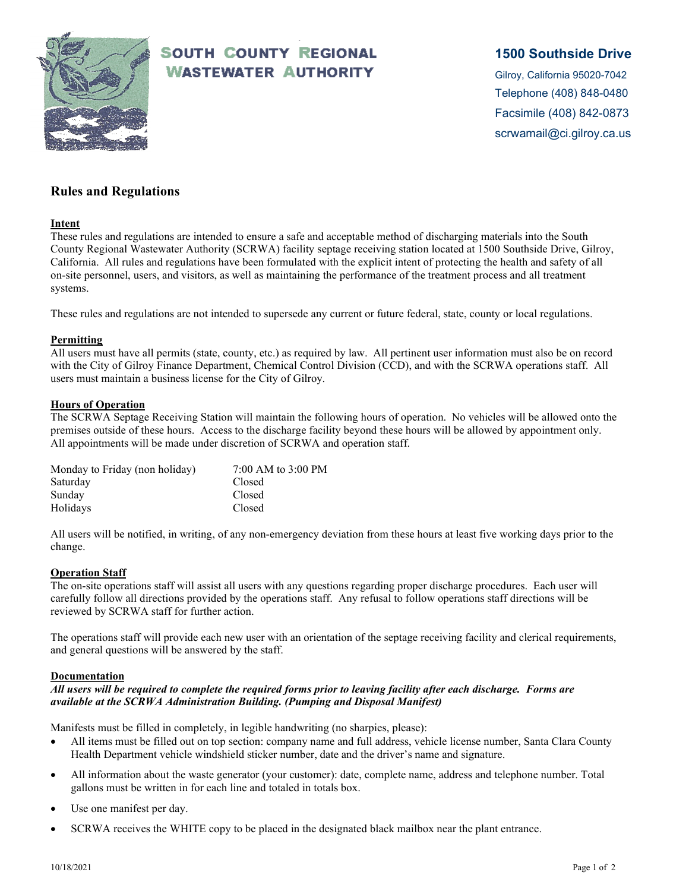

# **SOUTH COUNTY REGIONAL WASTEWATER AUTHORITY**

## **1500 Southside Drive**

Gilroy, California 95020-7042 Telephone (408) 848-0480 Facsimile (408) 842-0873 scrwamail@ci.gilroy.ca.us

## **Rules and Regulations**

#### **Intent**

These rules and regulations are intended to ensure a safe and acceptable method of discharging materials into the South County Regional Wastewater Authority (SCRWA) facility septage receiving station located at 1500 Southside Drive, Gilroy, California. All rules and regulations have been formulated with the explicit intent of protecting the health and safety of all on-site personnel, users, and visitors, as well as maintaining the performance of the treatment process and all treatment systems.

These rules and regulations are not intended to supersede any current or future federal, state, county or local regulations.

#### **Permitting**

All users must have all permits (state, county, etc.) as required by law. All pertinent user information must also be on record with the City of Gilroy Finance Department, Chemical Control Division (CCD), and with the SCRWA operations staff. All users must maintain a business license for the City of Gilroy.

#### **Hours of Operation**

The SCRWA Septage Receiving Station will maintain the following hours of operation. No vehicles will be allowed onto the premises outside of these hours. Access to the discharge facility beyond these hours will be allowed by appointment only. All appointments will be made under discretion of SCRWA and operation staff.

| Monday to Friday (non holiday) | 7:00 AM to 3:00 PM |
|--------------------------------|--------------------|
| Saturday                       | Closed             |
| Sunday                         | Closed             |
| Holidays                       | Closed             |

All users will be notified, in writing, of any non-emergency deviation from these hours at least five working days prior to the change.

### **Operation Staff**

The on-site operations staff will assist all users with any questions regarding proper discharge procedures. Each user will carefully follow all directions provided by the operations staff. Any refusal to follow operations staff directions will be reviewed by SCRWA staff for further action.

The operations staff will provide each new user with an orientation of the septage receiving facility and clerical requirements, and general questions will be answered by the staff.

#### **Documentation**

#### *All users will be required to complete the required forms prior to leaving facility after each discharge. Forms are available at the SCRWA Administration Building. (Pumping and Disposal Manifest)*

Manifests must be filled in completely, in legible handwriting (no sharpies, please):

- All items must be filled out on top section: company name and full address, vehicle license number, Santa Clara County Health Department vehicle windshield sticker number, date and the driver's name and signature.
- All information about the waste generator (your customer): date, complete name, address and telephone number. Total gallons must be written in for each line and totaled in totals box.
- Use one manifest per day.
- SCRWA receives the WHITE copy to be placed in the designated black mailbox near the plant entrance.